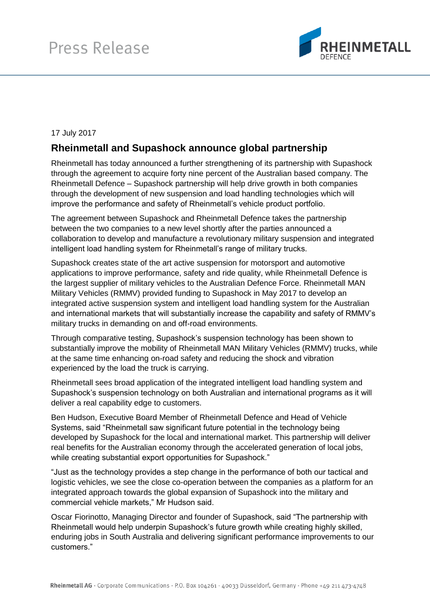

## 17 July 2017

## **Rheinmetall and Supashock announce global partnership**

Rheinmetall has today announced a further strengthening of its partnership with Supashock through the agreement to acquire forty nine percent of the Australian based company. The Rheinmetall Defence – Supashock partnership will help drive growth in both companies through the development of new suspension and load handling technologies which will improve the performance and safety of Rheinmetall's vehicle product portfolio.

The agreement between Supashock and Rheinmetall Defence takes the partnership between the two companies to a new level shortly after the parties announced a collaboration to develop and manufacture a revolutionary military suspension and integrated intelligent load handling system for Rheinmetall's range of military trucks.

Supashock creates state of the art active suspension for motorsport and automotive applications to improve performance, safety and ride quality, while Rheinmetall Defence is the largest supplier of military vehicles to the Australian Defence Force. Rheinmetall MAN Military Vehicles (RMMV) provided funding to Supashock in May 2017 to develop an integrated active suspension system and intelligent load handling system for the Australian and international markets that will substantially increase the capability and safety of RMMV's military trucks in demanding on and off-road environments.

Through comparative testing, Supashock's suspension technology has been shown to substantially improve the mobility of Rheinmetall MAN Military Vehicles (RMMV) trucks, while at the same time enhancing on-road safety and reducing the shock and vibration experienced by the load the truck is carrying.

Rheinmetall sees broad application of the integrated intelligent load handling system and Supashock's suspension technology on both Australian and international programs as it will deliver a real capability edge to customers.

Ben Hudson, Executive Board Member of Rheinmetall Defence and Head of Vehicle Systems, said "Rheinmetall saw significant future potential in the technology being developed by Supashock for the local and international market. This partnership will deliver real benefits for the Australian economy through the accelerated generation of local jobs, while creating substantial export opportunities for Supashock."

"Just as the technology provides a step change in the performance of both our tactical and logistic vehicles, we see the close co-operation between the companies as a platform for an integrated approach towards the global expansion of Supashock into the military and commercial vehicle markets," Mr Hudson said.

Oscar Fiorinotto, Managing Director and founder of Supashock, said "The partnership with Rheinmetall would help underpin Supashock's future growth while creating highly skilled, enduring jobs in South Australia and delivering significant performance improvements to our customers."